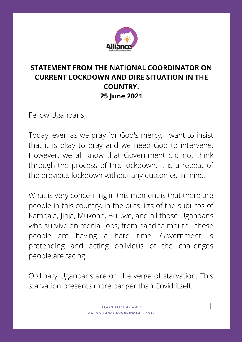

## **STATEMENT FROM THE NATIONAL COORDINATOR ON CURRENT LOCKDOWN AND DIRE SITUATION IN THE COUNTRY. 25 June 2021**

Fellow Ugandans,

Today, even as we pray for God's mercy, I want to insist that it is okay to pray and we need God to intervene. However, we all know that Government did not think through the process of this lockdown. It is a repeat of the previous lockdown without any outcomes in mind.

What is very concerning in this moment is that there are people in this country, in the outskirts of the suburbs of Kampala, Jinja, Mukono, Buikwe, and all those Ugandans who survive on menial jobs, from hand to mouth - these people are having a hard time. Government is pretending and acting oblivious of the challenges people are facing.

Ordinary Ugandans are on the verge of starvation. This starvation presents more danger than Covid itself.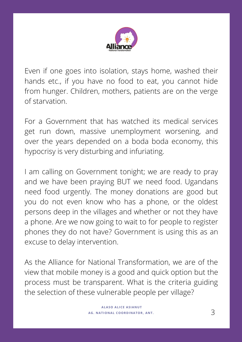

Even if one goes into isolation, stays home, washed their hands etc., if you have no food to eat, you cannot hide from hunger. Children, mothers, patients are on the verge of starvation.

For a Government that has watched its medical services get run down, massive unemployment worsening, and over the years depended on a boda boda economy, this hypocrisy is very disturbing and infuriating.

I am calling on Government tonight; we are ready to pray and we have been praying BUT we need food. Ugandans need food urgently. The money donations are good but you do not even know who has a phone, or the oldest persons deep in the villages and whether or not they have a phone. Are we now going to wait to for people to register phones they do not have? Government is using this as an excuse to delay intervention.

As the Alliance for National Transformation, we are of the view that mobile money is a good and quick option but the process must be transparent. What is the criteria guiding the selection of these vulnerable people per village?